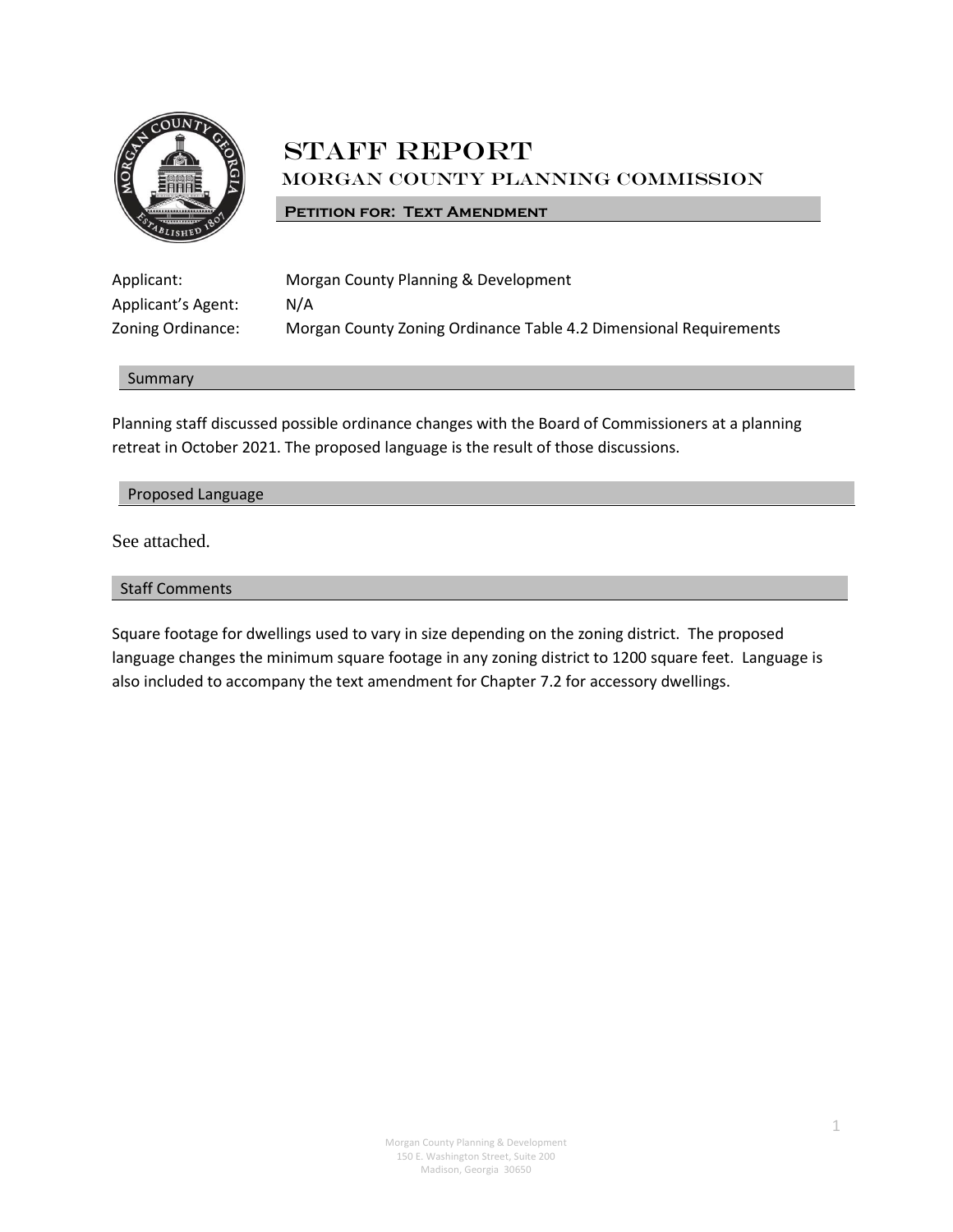

# **STAFF REPORT** Morgan County Planning Commission

### **PETITION FOR: TEXT AMENDMENT**

| Applicant:         | Morgan County Planning & Development                              |
|--------------------|-------------------------------------------------------------------|
| Applicant's Agent: | N/A                                                               |
| Zoning Ordinance:  | Morgan County Zoning Ordinance Table 4.2 Dimensional Requirements |

#### Summary

Planning staff discussed possible ordinance changes with the Board of Commissioners at a planning retreat in October 2021. The proposed language is the result of those discussions.

#### Proposed Language

See attached.

## Staff Comments

Square footage for dwellings used to vary in size depending on the zoning district. The proposed language changes the minimum square footage in any zoning district to 1200 square feet. Language is also included to accompany the text amendment for Chapter 7.2 for accessory dwellings.